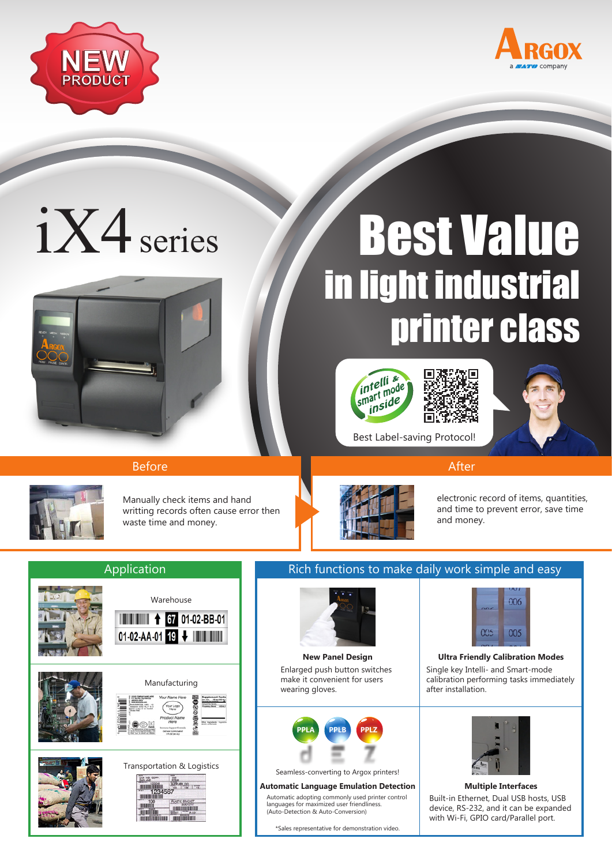



# iX4 series



## Best Value in light industrial printer class









Manually check items and hand writting records often cause error then waste time and money.



electronic record of items, quantities, and time to prevent error, save time and money.



### Application **Rich functions to make daily work simple and easy**



Enlarged push button switches make it convenient for users wearing gloves.



Seamless-converting to Argox printers!

#### **Automatic Language Emulation Detection Multiple Interfaces**

Automatic adopting commonly used printer control languages for maximized user friendliness. (Auto-Detection & Auto-Conversion)

\*Sales representative for demonstration video.



#### Single key Intelli- and Smart-mode calibration performing tasks immediately after installation. **New Panel Design Ultra Friendly Calibration Modes**



#### Built-in Ethernet, Dual USB hosts, USB device, RS-232, and it can be expanded with Wi-Fi, GPIO card/Parallel port.